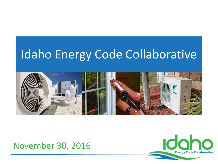### Idaho Energy Code Collaborative



### November 30, 2016

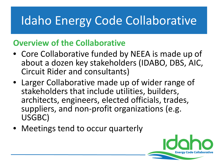# Idaho Energy Code Collaborative

### **Overview of the Collaborative**

- Core Collaborative funded by NEEA is made up of about a dozen key stakeholders (IDABO, DBS, AIC, Circuit Rider and consultants)
- Larger Collaborative made up of wider range of stakeholders that include utilities, builders, architects, engineers, elected officials, trades, suppliers, and non-profit organizations (e.g. USGBC)
- Meetings tend to occur quarterly

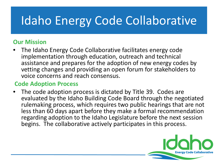# Idaho Energy Code Collaborative

#### **Our Mission**

• The Idaho Energy Code Collaborative facilitates energy code implementation through education, outreach and technical assistance and prepares for the adoption of new energy codes by vetting changes and providing an open forum for stakeholders to voice concerns and reach consensus.

#### **Code Adoption Process**

The code adoption process is dictated by Title 39. Codes are evaluated by the Idaho Building Code Board through the negotiated rulemaking process, which requires two public hearings that are not less than 60 days apart before they make a formal recommendation regarding adoption to the Idaho Legislature before the next session begins. The collaborative actively participates in this process.

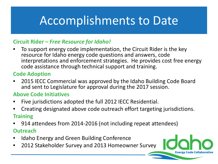### Accomplishments to Date

#### **Circuit Rider –** *Free Resource for Idaho!*

• To support energy code implementation, the Circuit Rider is the key resource for Idaho energy code questions and answers, code interpretations and enforcement strategies. He provides cost free energy code assistance through technical support and training.

#### **Code Adoption**

• 2015 IECC Commercial was approved by the Idaho Building Code Board and sent to Legislature for approval during the 2017 session.

#### **Above Code Initiatives**

- Five jurisdictions adopted the full 2012 IECC Residential.
- Creating designated above code outreach effort targeting jurisdictions. **Training**
- 914 attendees from 2014-2016 (not including repeat attendees) **Outreach**
- Idaho Energy and Green Building Conference
- 2012 Stakeholder Survey and 2013 Homeowner Survey